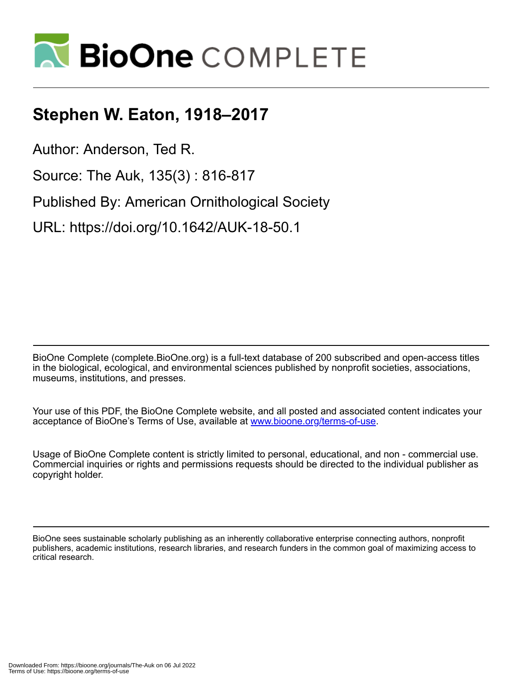

## **Stephen W. Eaton, 1918–2017**

Author: Anderson, Ted R.

Source: The Auk, 135(3) : 816-817

Published By: American Ornithological Society

URL: https://doi.org/10.1642/AUK-18-50.1

BioOne Complete (complete.BioOne.org) is a full-text database of 200 subscribed and open-access titles in the biological, ecological, and environmental sciences published by nonprofit societies, associations, museums, institutions, and presses.

Your use of this PDF, the BioOne Complete website, and all posted and associated content indicates your acceptance of BioOne's Terms of Use, available at www.bioone.org/terms-of-use.

Usage of BioOne Complete content is strictly limited to personal, educational, and non - commercial use. Commercial inquiries or rights and permissions requests should be directed to the individual publisher as copyright holder.

BioOne sees sustainable scholarly publishing as an inherently collaborative enterprise connecting authors, nonprofit publishers, academic institutions, research libraries, and research funders in the common goal of maximizing access to critical research.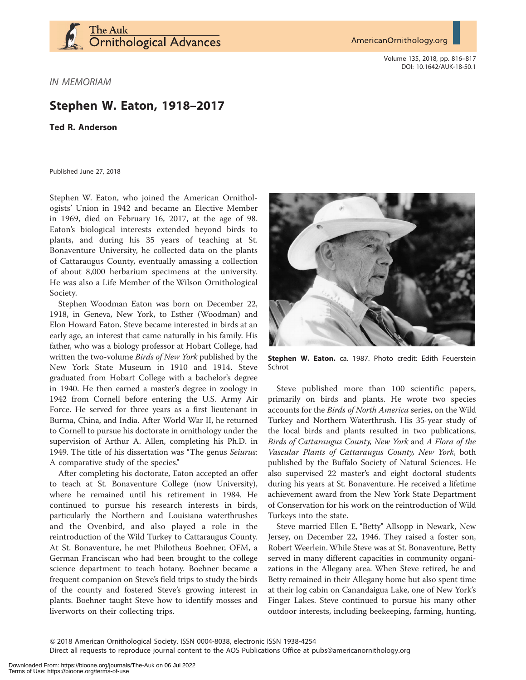

AmericanOrnithology.org

Volume 135, 2018, pp. 816–817 DOI: 10.1642/AUK-18-50.1

IN MEMORIAM

## Stephen W. Eaton, 1918–2017

Ted R. Anderson

Published June 27, 2018

Stephen W. Eaton, who joined the American Ornithologists' Union in 1942 and became an Elective Member in 1969, died on February 16, 2017, at the age of 98. Eaton's biological interests extended beyond birds to plants, and during his 35 years of teaching at St. Bonaventure University, he collected data on the plants of Cattaraugus County, eventually amassing a collection of about 8,000 herbarium specimens at the university. He was also a Life Member of the Wilson Ornithological Society.

Stephen Woodman Eaton was born on December 22, 1918, in Geneva, New York, to Esther (Woodman) and Elon Howard Eaton. Steve became interested in birds at an early age, an interest that came naturally in his family. His father, who was a biology professor at Hobart College, had written the two-volume Birds of New York published by the New York State Museum in 1910 and 1914. Steve graduated from Hobart College with a bachelor's degree in 1940. He then earned a master's degree in zoology in 1942 from Cornell before entering the U.S. Army Air Force. He served for three years as a first lieutenant in Burma, China, and India. After World War II, he returned to Cornell to pursue his doctorate in ornithology under the supervision of Arthur A. Allen, completing his Ph.D. in 1949. The title of his dissertation was ''The genus Seiurus: A comparative study of the species.''

After completing his doctorate, Eaton accepted an offer to teach at St. Bonaventure College (now University), where he remained until his retirement in 1984. He continued to pursue his research interests in birds, particularly the Northern and Louisiana waterthrushes and the Ovenbird, and also played a role in the reintroduction of the Wild Turkey to Cattaraugus County. At St. Bonaventure, he met Philotheus Boehner, OFM, a German Franciscan who had been brought to the college science department to teach botany. Boehner became a frequent companion on Steve's field trips to study the birds of the county and fostered Steve's growing interest in plants. Boehner taught Steve how to identify mosses and liverworts on their collecting trips.



Stephen W. Eaton. ca. 1987. Photo credit: Edith Feuerstein Schrot

Steve published more than 100 scientific papers, primarily on birds and plants. He wrote two species accounts for the Birds of North America series, on the Wild Turkey and Northern Waterthrush. His 35-year study of the local birds and plants resulted in two publications, Birds of Cattaraugus County, New York and A Flora of the Vascular Plants of Cattaraugus County, New York, both published by the Buffalo Society of Natural Sciences. He also supervised 22 master's and eight doctoral students during his years at St. Bonaventure. He received a lifetime achievement award from the New York State Department of Conservation for his work on the reintroduction of Wild Turkeys into the state.

Steve married Ellen E. "Betty" Allsopp in Newark, New Jersey, on December 22, 1946. They raised a foster son, Robert Weerlein. While Steve was at St. Bonaventure, Betty served in many different capacities in community organizations in the Allegany area. When Steve retired, he and Betty remained in their Allegany home but also spent time at their log cabin on Canandaigua Lake, one of New York's Finger Lakes. Steve continued to pursue his many other outdoor interests, including beekeeping, farming, hunting,

Q 2018 American Ornithological Society. ISSN 0004-8038, electronic ISSN 1938-4254

Direct all requests to reproduce journal content to the AOS Publications Office at pubs@americanornithology.org